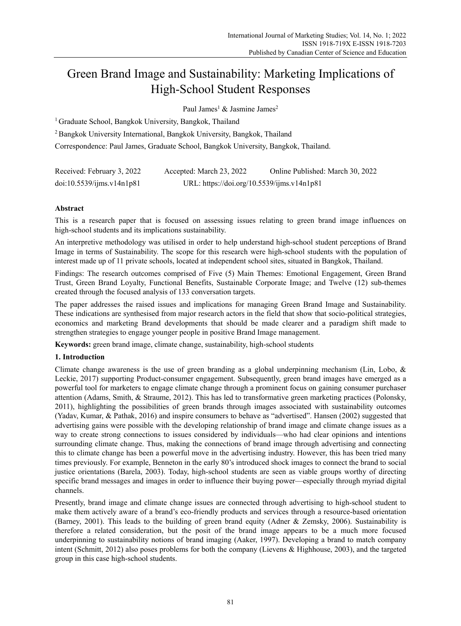# Green Brand Image and Sustainability: Marketing Implications of High-School Student Responses

Paul James<sup>1</sup> & Jasmine James<sup>2</sup>

<sup>1</sup> Graduate School, Bangkok University, Bangkok, Thailand

2 Bangkok University International, Bangkok University, Bangkok, Thailand

Correspondence: Paul James, Graduate School, Bangkok University, Bangkok, Thailand.

| Received: February 3, 2022 | Accepted: March 23, 2022                   | Online Published: March 30, 2022 |
|----------------------------|--------------------------------------------|----------------------------------|
| doi:10.5539/jms.v14n1p81   | URL: https://doi.org/10.5539/ijms.v14n1p81 |                                  |

# **Abstract**

This is a research paper that is focused on assessing issues relating to green brand image influences on high-school students and its implications sustainability.

An interpretive methodology was utilised in order to help understand high-school student perceptions of Brand Image in terms of Sustainability. The scope for this research were high-school students with the population of interest made up of 11 private schools, located at independent school sites, situated in Bangkok, Thailand.

Findings: The research outcomes comprised of Five (5) Main Themes: Emotional Engagement, Green Brand Trust, Green Brand Loyalty, Functional Benefits, Sustainable Corporate Image; and Twelve (12) sub-themes created through the focused analysis of 133 conversation targets.

The paper addresses the raised issues and implications for managing Green Brand Image and Sustainability. These indications are synthesised from major research actors in the field that show that socio-political strategies, economics and marketing Brand developments that should be made clearer and a paradigm shift made to strengthen strategies to engage younger people in positive Brand Image management.

**Keywords:** green brand image, climate change, sustainability, high-school students

# **1. Introduction**

Climate change awareness is the use of green branding as a global underpinning mechanism (Lin, Lobo, & Leckie, 2017) supporting Product-consumer engagement. Subsequently, green brand images have emerged as a powerful tool for marketers to engage climate change through a prominent focus on gaining consumer purchaser attention (Adams, Smith, & Straume, 2012). This has led to transformative green marketing practices (Polonsky, 2011), highlighting the possibilities of green brands through images associated with sustainability outcomes (Yadav, Kumar, & Pathak, 2016) and inspire consumers to behave as "advertised". Hansen (2002) suggested that advertising gains were possible with the developing relationship of brand image and climate change issues as a way to create strong connections to issues considered by individuals—who had clear opinions and intentions surrounding climate change. Thus, making the connections of brand image through advertising and connecting this to climate change has been a powerful move in the advertising industry. However, this has been tried many times previously. For example, Benneton in the early 80's introduced shock images to connect the brand to social justice orientations (Barela, 2003). Today, high-school students are seen as viable groups worthy of directing specific brand messages and images in order to influence their buying power—especially through myriad digital channels.

Presently, brand image and climate change issues are connected through advertising to high-school student to make them actively aware of a brand's eco-friendly products and services through a resource-based orientation (Barney, 2001). This leads to the building of green brand equity (Adner & Zemsky, 2006). Sustainability is therefore a related consideration, but the posit of the brand image appears to be a much more focused underpinning to sustainability notions of brand imaging (Aaker, 1997). Developing a brand to match company intent (Schmitt, 2012) also poses problems for both the company (Lievens & Highhouse, 2003), and the targeted group in this case high-school students.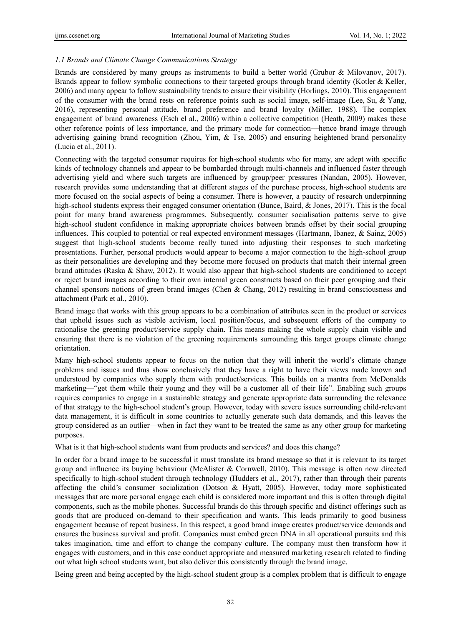## *1.1 Brands and Climate Change Communications Strategy*

Brands are considered by many groups as instruments to build a better world (Grubor & Milovanov, 2017). Brands appear to follow symbolic connections to their targeted groups through brand identity (Kotler & Keller, 2006) and many appear to follow sustainability trends to ensure their visibility (Horlings, 2010). This engagement of the consumer with the brand rests on reference points such as social image, self-image (Lee, Su, & Yang, 2016), representing personal attitude, brand preference and brand loyalty (Miller, 1988). The complex engagement of brand awareness (Esch el al., 2006) within a collective competition (Heath, 2009) makes these other reference points of less importance, and the primary mode for connection—hence brand image through advertising gaining brand recognition (Zhou, Yim, & Tse, 2005) and ensuring heightened brand personality (Lucia et al., 2011).

Connecting with the targeted consumer requires for high-school students who for many, are adept with specific kinds of technology channels and appear to be bombarded through multi-channels and influenced faster through advertising yield and where such targets are influenced by group/peer pressures (Nandan, 2005). However, research provides some understanding that at different stages of the purchase process, high-school students are more focused on the social aspects of being a consumer. There is however, a paucity of research underpinning high-school students express their engaged consumer orientation (Bunce, Baird, & Jones, 2017). This is the focal point for many brand awareness programmes. Subsequently, consumer socialisation patterns serve to give high-school student confidence in making appropriate choices between brands offset by their social grouping influences. This coupled to potential or real expected environment messages (Hartmann, Ibanez, & Sainz, 2005) suggest that high-school students become really tuned into adjusting their responses to such marketing presentations. Further, personal products would appear to become a major connection to the high-school group as their personalities are developing and they become more focused on products that match their internal green brand attitudes (Raska & Shaw, 2012). It would also appear that high-school students are conditioned to accept or reject brand images according to their own internal green constructs based on their peer grouping and their channel sponsors notions of green brand images (Chen & Chang, 2012) resulting in brand consciousness and attachment (Park et al., 2010).

Brand image that works with this group appears to be a combination of attributes seen in the product or services that uphold issues such as visible activism, local position/focus, and subsequent efforts of the company to rationalise the greening product/service supply chain. This means making the whole supply chain visible and ensuring that there is no violation of the greening requirements surrounding this target groups climate change orientation.

Many high-school students appear to focus on the notion that they will inherit the world's climate change problems and issues and thus show conclusively that they have a right to have their views made known and understood by companies who supply them with product/services. This builds on a mantra from McDonalds marketing—"get them while their young and they will be a customer all of their life". Enabling such groups requires companies to engage in a sustainable strategy and generate appropriate data surrounding the relevance of that strategy to the high-school student's group. However, today with severe issues surrounding child-relevant data management, it is difficult in some countries to actually generate such data demands, and this leaves the group considered as an outlier—when in fact they want to be treated the same as any other group for marketing purposes.

What is it that high-school students want from products and services? and does this change?

In order for a brand image to be successful it must translate its brand message so that it is relevant to its target group and influence its buying behaviour (McAlister & Cornwell, 2010). This message is often now directed specifically to high-school student through technology (Hudders et al., 2017), rather than through their parents affecting the child's consumer socialization (Dotson & Hyatt, 2005). However, today more sophisticated messages that are more personal engage each child is considered more important and this is often through digital components, such as the mobile phones. Successful brands do this through specific and distinct offerings such as goods that are produced on-demand to their specification and wants. This leads primarily to good business engagement because of repeat business. In this respect, a good brand image creates product/service demands and ensures the business survival and profit. Companies must embed green DNA in all operational pursuits and this takes imagination, time and effort to change the company culture. The company must then transform how it engages with customers, and in this case conduct appropriate and measured marketing research related to finding out what high school students want, but also deliver this consistently through the brand image.

Being green and being accepted by the high-school student group is a complex problem that is difficult to engage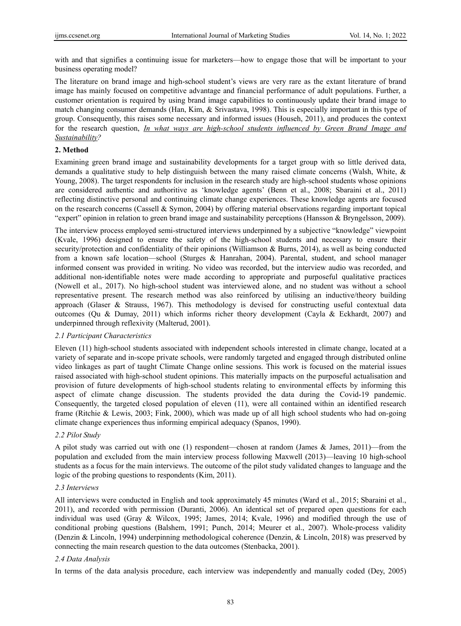with and that signifies a continuing issue for marketers—how to engage those that will be important to your business operating model?

The literature on brand image and high-school student's views are very rare as the extant literature of brand image has mainly focused on competitive advantage and financial performance of adult populations. Further, a customer orientation is required by using brand image capabilities to continuously update their brand image to match changing consumer demands (Han, Kim, & Srivastava, 1998). This is especially important in this type of group. Consequently, this raises some necessary and informed issues (Househ, 2011), and produces the context for the research question, *In what ways are high-school students influenced by Green Brand Image and Sustainability?*

#### **2. Method**

Examining green brand image and sustainability developments for a target group with so little derived data, demands a qualitative study to help distinguish between the many raised climate concerns (Walsh, White, & Young, 2008). The target respondents for inclusion in the research study are high-school students whose opinions are considered authentic and authoritive as 'knowledge agents' (Benn et al., 2008; Sbaraini et al., 2011) reflecting distinctive personal and continuing climate change experiences. These knowledge agents are focused on the research concerns (Cassell & Symon, 2004) by offering material observations regarding important topical "expert" opinion in relation to green brand image and sustainability perceptions (Hansson & Bryngelsson, 2009).

The interview process employed semi-structured interviews underpinned by a subjective "knowledge" viewpoint (Kvale, 1996) designed to ensure the safety of the high-school students and necessary to ensure their security/protection and confidentiality of their opinions (Williamson & Burns, 2014), as well as being conducted from a known safe location—school (Sturges & Hanrahan, 2004). Parental, student, and school manager informed consent was provided in writing. No video was recorded, but the interview audio was recorded, and additional non-identifiable notes were made according to appropriate and purposeful qualitative practices (Nowell et al., 2017). No high-school student was interviewed alone, and no student was without a school representative present. The research method was also reinforced by utilising an inductive/theory building approach (Glaser & Strauss, 1967). This methodology is devised for constructing useful contextual data outcomes (Qu & Dumay, 2011) which informs richer theory development (Cayla & Eckhardt, 2007) and underpinned through reflexivity (Malterud, 2001).

#### *2.1 Participant Characteristics*

Eleven (11) high-school students associated with independent schools interested in climate change, located at a variety of separate and in-scope private schools, were randomly targeted and engaged through distributed online video linkages as part of taught Climate Change online sessions. This work is focused on the material issues raised associated with high-school student opinions. This materially impacts on the purposeful actualisation and provision of future developments of high-school students relating to environmental effects by informing this aspect of climate change discussion. The students provided the data during the Covid-19 pandemic. Consequently, the targeted closed population of eleven (11), were all contained within an identified research frame (Ritchie & Lewis, 2003; Fink, 2000), which was made up of all high school students who had on-going climate change experiences thus informing empirical adequacy (Spanos, 1990).

#### *2.2 Pilot Study*

A pilot study was carried out with one (1) respondent—chosen at random (James & James, 2011)—from the population and excluded from the main interview process following Maxwell (2013)—leaving 10 high-school students as a focus for the main interviews. The outcome of the pilot study validated changes to language and the logic of the probing questions to respondents (Kim, 2011).

#### *2.3 Interviews*

All interviews were conducted in English and took approximately 45 minutes (Ward et al., 2015; Sbaraini et al., 2011), and recorded with permission (Duranti, 2006). An identical set of prepared open questions for each individual was used (Gray & Wilcox, 1995; James, 2014; Kvale, 1996) and modified through the use of conditional probing questions (Balshem, 1991; Punch, 2014; Meurer et al., 2007). Whole-process validity (Denzin & Lincoln, 1994) underpinning methodological coherence (Denzin, & Lincoln, 2018) was preserved by connecting the main research question to the data outcomes (Stenbacka, 2001).

#### *2.4 Data Analysis*

In terms of the data analysis procedure, each interview was independently and manually coded (Dey, 2005)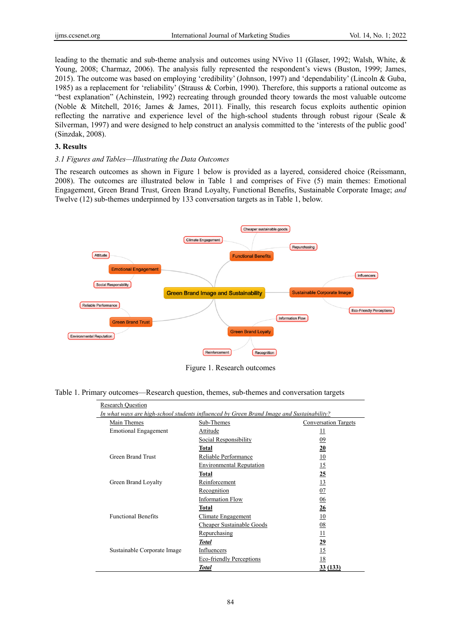leading to the thematic and sub-theme analysis and outcomes using NVivo 11 (Glaser, 1992; Walsh, White, & Young, 2008; Charmaz, 2006). The analysis fully represented the respondent's views (Buston, 1999; James, 2015). The outcome was based on employing 'credibility' (Johnson, 1997) and 'dependability' (Lincoln & Guba, 1985) as a replacement for 'reliability' (Strauss & Corbin, 1990). Therefore, this supports a rational outcome as "best explanation" (Achinstein, 1992) recreating through grounded theory towards the most valuable outcome (Noble & Mitchell, 2016; James & James, 2011). Finally, this research focus exploits authentic opinion reflecting the narrative and experience level of the high-school students through robust rigour (Seale & Silverman, 1997) and were designed to help construct an analysis committed to the 'interests of the public good' (Sinzdak, 2008).

## **3. Results**

#### *3.1 Figures and Tables—Illustrating the Data Outcomes*

The research outcomes as shown in Figure 1 below is provided as a layered, considered choice (Reissmann, 2008). The outcomes are illustrated below in Table 1 and comprises of Five (5) main themes: Emotional Engagement, Green Brand Trust, Green Brand Loyalty, Functional Benefits, Sustainable Corporate Image; *and* Twelve (12) sub-themes underpinned by 133 conversation targets as in Table 1, below.



Figure 1. Research outcomes

Table 1. Primary outcomes—Research question, themes, sub-themes and conversation targets

| <b>Research Question</b>                                                                  |                                 |                             |  |
|-------------------------------------------------------------------------------------------|---------------------------------|-----------------------------|--|
| In what ways are high-school students influenced by Green Brand Image and Sustainability? |                                 |                             |  |
| Main Themes                                                                               | Sub-Themes                      | <b>Conversation Targets</b> |  |
| <b>Emotional Engagement</b>                                                               | Attitude                        | $\overline{11}$             |  |
|                                                                                           | Social Responsibility           | 09                          |  |
|                                                                                           | Total                           | 20                          |  |
| Green Brand Trust                                                                         | Reliable Performance            | 10                          |  |
|                                                                                           | <b>Environmental Reputation</b> | 15                          |  |
|                                                                                           | Total                           | 25                          |  |
| Green Brand Loyalty                                                                       | Reinforcement                   | 13                          |  |
|                                                                                           | Recognition                     | 07                          |  |
|                                                                                           | <b>Information Flow</b>         | 06                          |  |
|                                                                                           | Total                           | 26                          |  |
| <b>Functional Benefits</b>                                                                | Climate Engagement              | 10                          |  |
|                                                                                           | Cheaper Sustainable Goods       | 08                          |  |
|                                                                                           | Repurchasing                    | 11                          |  |
|                                                                                           | <b>Total</b>                    | 29                          |  |
| Sustainable Corporate Image                                                               | Influencers                     | 15                          |  |
|                                                                                           | Eco-friendly Perceptions        | 18                          |  |
|                                                                                           | <b>Total</b>                    | <u>33 (133)</u>             |  |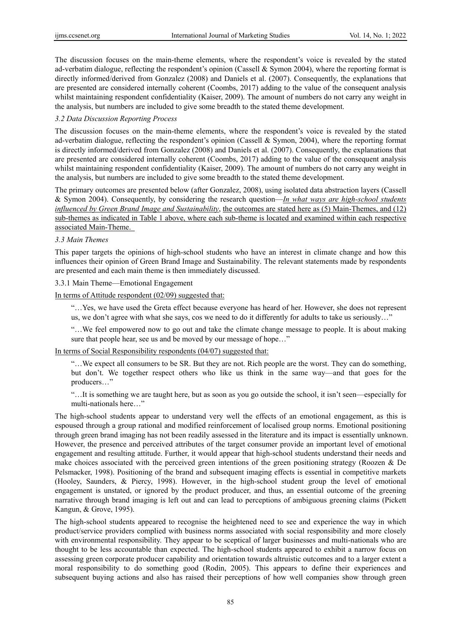The discussion focuses on the main-theme elements, where the respondent's voice is revealed by the stated ad-verbatim dialogue, reflecting the respondent's opinion (Cassell & Symon 2004), where the reporting format is directly informed/derived from Gonzalez (2008) and Daniels et al. (2007). Consequently, the explanations that are presented are considered internally coherent (Coombs, 2017) adding to the value of the consequent analysis whilst maintaining respondent confidentiality (Kaiser, 2009). The amount of numbers do not carry any weight in the analysis, but numbers are included to give some breadth to the stated theme development.

## *3.2 Data Discussion Reporting Process*

The discussion focuses on the main-theme elements, where the respondent's voice is revealed by the stated ad-verbatim dialogue, reflecting the respondent's opinion (Cassell & Symon, 2004), where the reporting format is directly informed/derived from Gonzalez (2008) and Daniels et al. (2007). Consequently, the explanations that are presented are considered internally coherent (Coombs, 2017) adding to the value of the consequent analysis whilst maintaining respondent confidentiality (Kaiser, 2009). The amount of numbers do not carry any weight in the analysis, but numbers are included to give some breadth to the stated theme development.

The primary outcomes are presented below (after Gonzalez, 2008), using isolated data abstraction layers (Cassell & Symon 2004). Consequently, by considering the research question—*In what ways are high-school students influenced by Green Brand Image and Sustainability*, the outcomes are stated here as (5) Main-Themes, and (12) sub-themes as indicated in Table 1 above, where each sub-theme is located and examined within each respective associated Main-Theme.

## *3.3 Main Themes*

This paper targets the opinions of high-school students who have an interest in climate change and how this influences their opinion of Green Brand Image and Sustainability. The relevant statements made by respondents are presented and each main theme is then immediately discussed.

## 3.3.1 Main Theme—Emotional Engagement

In terms of Attitude respondent (02/09) suggested that:

"…Yes, we have used the Greta effect because everyone has heard of her. However, she does not represent us, we don't agree with what she says, cos we need to do it differently for adults to take us seriously…"

"…We feel empowered now to go out and take the climate change message to people. It is about making sure that people hear, see us and be moved by our message of hope…"

In terms of Social Responsibility respondents (04/07) suggested that:

"…We expect all consumers to be SR. But they are not. Rich people are the worst. They can do something, but don't. We together respect others who like us think in the same way—and that goes for the producers…"

"…It is something we are taught here, but as soon as you go outside the school, it isn't seen—especially for multi-nationals here…"

The high-school students appear to understand very well the effects of an emotional engagement, as this is espoused through a group rational and modified reinforcement of localised group norms. Emotional positioning through green brand imaging has not been readily assessed in the literature and its impact is essentially unknown. However, the presence and perceived attributes of the target consumer provide an important level of emotional engagement and resulting attitude. Further, it would appear that high-school students understand their needs and make choices associated with the perceived green intentions of the green positioning strategy (Roozen & De Pelsmacker, 1998). Positioning of the brand and subsequent imaging effects is essential in competitive markets (Hooley, Saunders, & Piercy, 1998). However, in the high-school student group the level of emotional engagement is unstated, or ignored by the product producer, and thus, an essential outcome of the greening narrative through brand imaging is left out and can lead to perceptions of ambiguous greening claims (Pickett Kangun, & Grove, 1995).

The high-school students appeared to recognise the heightened need to see and experience the way in which product/service providers complied with business norms associated with social responsibility and more closely with environmental responsibility. They appear to be sceptical of larger businesses and multi-nationals who are thought to be less accountable than expected. The high-school students appeared to exhibit a narrow focus on assessing green corporate producer capability and orientation towards altruistic outcomes and to a larger extent a moral responsibility to do something good (Rodin, 2005). This appears to define their experiences and subsequent buying actions and also has raised their perceptions of how well companies show through green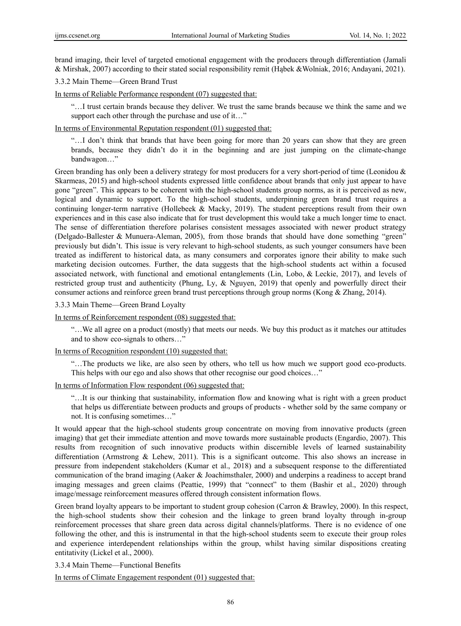brand imaging, their level of targeted emotional engagement with the producers through differentiation (Jamali & Mirshak, 2007) according to their stated social responsibility remit (Hąbek &Wolniak, 2016; Andayani, 2021).

3.3.2 Main Theme—Green Brand Trust

In terms of Reliable Performance respondent (07) suggested that:

"…I trust certain brands because they deliver. We trust the same brands because we think the same and we support each other through the purchase and use of it..."

In terms of Environmental Reputation respondent (01) suggested that:

"…I don't think that brands that have been going for more than 20 years can show that they are green brands, because they didn't do it in the beginning and are just jumping on the climate-change bandwagon…"

Green branding has only been a delivery strategy for most producers for a very short-period of time (Leonidou & Skarmeas, 2015) and high-school students expressed little confidence about brands that only just appear to have gone "green". This appears to be coherent with the high-school students group norms, as it is perceived as new, logical and dynamic to support. To the high-school students, underpinning green brand trust requires a continuing longer-term narrative (Hollebeek & Macky, 2019). The student perceptions result from their own experiences and in this case also indicate that for trust development this would take a much longer time to enact. The sense of differentiation therefore polarises consistent messages associated with newer product strategy (Delgado-Ballester & Munuera-Aleman, 2005), from those brands that should have done something "green" previously but didn't. This issue is very relevant to high-school students, as such younger consumers have been treated as indifferent to historical data, as many consumers and corporates ignore their ability to make such marketing decision outcomes. Further, the data suggests that the high-school students act within a focused associated network, with functional and emotional entanglements (Lin, Lobo, & Leckie, 2017), and levels of restricted group trust and authenticity (Phung, Ly, & Nguyen, 2019) that openly and powerfully direct their consumer actions and reinforce green brand trust perceptions through group norms (Kong & Zhang, 2014).

3.3.3 Main Theme—Green Brand Loyalty

In terms of Reinforcement respondent (08) suggested that:

"…We all agree on a product (mostly) that meets our needs. We buy this product as it matches our attitudes and to show eco-signals to others…"

In terms of Recognition respondent (10) suggested that:

"…The products we like, are also seen by others, who tell us how much we support good eco-products. This helps with our ego and also shows that other recognise our good choices…"

In terms of Information Flow respondent (06) suggested that:

"…It is our thinking that sustainability, information flow and knowing what is right with a green product that helps us differentiate between products and groups of products - whether sold by the same company or not. It is confusing sometimes…"

It would appear that the high-school students group concentrate on moving from innovative products (green imaging) that get their immediate attention and move towards more sustainable products (Engardio, 2007). This results from recognition of such innovative products within discernible levels of learned sustainability differentiation (Armstrong & Lehew, 2011). This is a significant outcome. This also shows an increase in pressure from independent stakeholders (Kumar et al., 2018) and a subsequent response to the differentiated communication of the brand imaging (Aaker & Joachimsthaler, 2000) and underpins a readiness to accept brand imaging messages and green claims (Peattie, 1999) that "connect" to them (Bashir et al., 2020) through image/message reinforcement measures offered through consistent information flows.

Green brand loyalty appears to be important to student group cohesion (Carron & Brawley, 2000). In this respect, the high-school students show their cohesion and the linkage to green brand loyalty through in-group reinforcement processes that share green data across digital channels/platforms. There is no evidence of one following the other, and this is instrumental in that the high-school students seem to execute their group roles and experience interdependent relationships within the group, whilst having similar dispositions creating entitativity (Lickel et al., 2000).

3.3.4 Main Theme—Functional Benefits

In terms of Climate Engagement respondent (01) suggested that: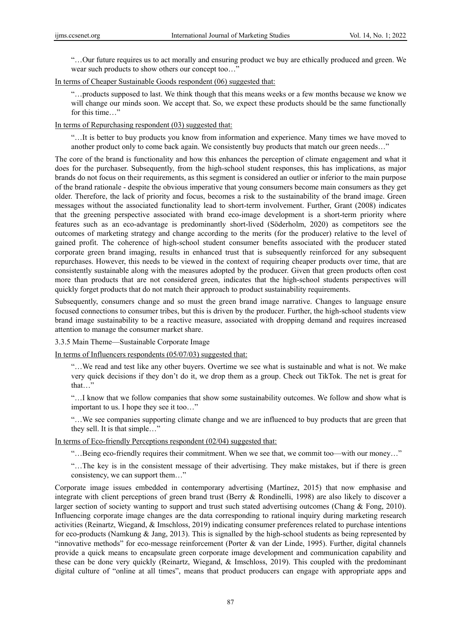"…Our future requires us to act morally and ensuring product we buy are ethically produced and green. We wear such products to show others our concept too…"

## In terms of Cheaper Sustainable Goods respondent (06) suggested that:

"…products supposed to last. We think though that this means weeks or a few months because we know we will change our minds soon. We accept that. So, we expect these products should be the same functionally for this time…"

#### In terms of Repurchasing respondent (03) suggested that:

"…It is better to buy products you know from information and experience. Many times we have moved to another product only to come back again. We consistently buy products that match our green needs…"

The core of the brand is functionality and how this enhances the perception of climate engagement and what it does for the purchaser. Subsequently, from the high-school student responses, this has implications, as major brands do not focus on their requirements, as this segment is considered an outlier or inferior to the main purpose of the brand rationale - despite the obvious imperative that young consumers become main consumers as they get older. Therefore, the lack of priority and focus, becomes a risk to the sustainability of the brand image. Green messages without the associated functionality lead to short-term involvement. Further, Grant (2008) indicates that the greening perspective associated with brand eco-image development is a short-term priority where features such as an eco-advantage is predominantly short-lived (Söderholm, 2020) as competitors see the outcomes of marketing strategy and change according to the merits (for the producer) relative to the level of gained profit. The coherence of high-school student consumer benefits associated with the producer stated corporate green brand imaging, results in enhanced trust that is subsequently reinforced for any subsequent repurchases. However, this needs to be viewed in the context of requiring cheaper products over time, that are consistently sustainable along with the measures adopted by the producer. Given that green products often cost more than products that are not considered green, indicates that the high-school students perspectives will quickly forget products that do not match their approach to product sustainability requirements.

Subsequently, consumers change and so must the green brand image narrative. Changes to language ensure focused connections to consumer tribes, but this is driven by the producer. Further, the high-school students view brand image sustainability to be a reactive measure, associated with dropping demand and requires increased attention to manage the consumer market share.

3.3.5 Main Theme—Sustainable Corporate Image

In terms of Influencers respondents (05/07/03) suggested that:

"…We read and test like any other buyers. Overtime we see what is sustainable and what is not. We make very quick decisions if they don't do it, we drop them as a group. Check out TikTok. The net is great for that…"

"…I know that we follow companies that show some sustainability outcomes. We follow and show what is important to us. I hope they see it too…"

"…We see companies supporting climate change and we are influenced to buy products that are green that they sell. It is that simple…"

In terms of Eco-friendly Perceptions respondent (02/04) suggested that:

"…Being eco-friendly requires their commitment. When we see that, we commit too—with our money…"

"…The key is in the consistent message of their advertising. They make mistakes, but if there is green consistency, we can support them…"

Corporate image issues embedded in contemporary advertising (Martínez, 2015) that now emphasise and integrate with client perceptions of green brand trust (Berry & Rondinelli, 1998) are also likely to discover a larger section of society wanting to support and trust such stated advertising outcomes (Chang & Fong, 2010). Influencing corporate image changes are the data corresponding to rational inquiry during marketing research activities (Reinartz, Wiegand, & Imschloss, 2019) indicating consumer preferences related to purchase intentions for eco-products (Namkung & Jang, 2013). This is signalled by the high-school students as being represented by "innovative methods" for eco-message reinforcement (Porter & van der Linde, 1995). Further, digital channels provide a quick means to encapsulate green corporate image development and communication capability and these can be done very quickly (Reinartz, Wiegand, & Imschloss, 2019). This coupled with the predominant digital culture of "online at all times", means that product producers can engage with appropriate apps and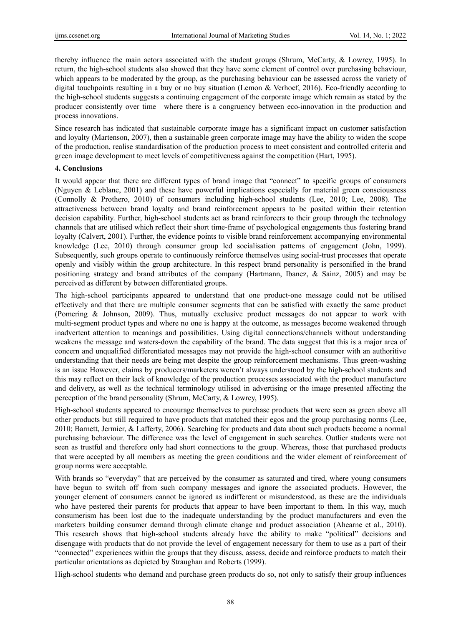thereby influence the main actors associated with the student groups (Shrum, McCarty, & Lowrey, 1995). In return, the high-school students also showed that they have some element of control over purchasing behaviour, which appears to be moderated by the group, as the purchasing behaviour can be assessed across the variety of digital touchpoints resulting in a buy or no buy situation (Lemon & Verhoef, 2016). Eco-friendly according to the high-school students suggests a continuing engagement of the corporate image which remain as stated by the producer consistently over time—where there is a congruency between eco-innovation in the production and process innovations.

Since research has indicated that sustainable corporate image has a significant impact on customer satisfaction and loyalty (Martenson, 2007), then a sustainable green corporate image may have the ability to widen the scope of the production, realise standardisation of the production process to meet consistent and controlled criteria and green image development to meet levels of competitiveness against the competition (Hart, 1995).

#### **4. Conclusions**

It would appear that there are different types of brand image that "connect" to specific groups of consumers (Nguyen & Leblanc, 2001) and these have powerful implications especially for material green consciousness (Connolly & Prothero, 2010) of consumers including high-school students (Lee, 2010; Lee, 2008). The attractiveness between brand loyalty and brand reinforcement appears to be posited within their retention decision capability. Further, high-school students act as brand reinforcers to their group through the technology channels that are utilised which reflect their short time-frame of psychological engagements thus fostering brand loyalty (Calvert, 2001). Further, the evidence points to visible brand reinforcement accompanying environmental knowledge (Lee, 2010) through consumer group led socialisation patterns of engagement (John, 1999). Subsequently, such groups operate to continuously reinforce themselves using social-trust processes that operate openly and visibly within the group architecture. In this respect brand personality is personified in the brand positioning strategy and brand attributes of the company (Hartmann, Ibanez, & Sainz, 2005) and may be perceived as different by between differentiated groups.

The high-school participants appeared to understand that one product-one message could not be utilised effectively and that there are multiple consumer segments that can be satisfied with exactly the same product (Pomering & Johnson, 2009). Thus, mutually exclusive product messages do not appear to work with multi-segment product types and where no one is happy at the outcome, as messages become weakened through inadvertent attention to meanings and possibilities. Using digital connections/channels without understanding weakens the message and waters-down the capability of the brand. The data suggest that this is a major area of concern and unqualified differentiated messages may not provide the high-school consumer with an authoritive understanding that their needs are being met despite the group reinforcement mechanisms. Thus green-washing is an issue However, claims by producers/marketers weren't always understood by the high-school students and this may reflect on their lack of knowledge of the production processes associated with the product manufacture and delivery, as well as the technical terminology utilised in advertising or the image presented affecting the perception of the brand personality (Shrum, McCarty, & Lowrey, 1995).

High-school students appeared to encourage themselves to purchase products that were seen as green above all other products but still required to have products that matched their egos and the group purchasing norms (Lee, 2010; Barnett, Jermier, & Lafferty, 2006). Searching for products and data about such products become a normal purchasing behaviour. The difference was the level of engagement in such searches. Outlier students were not seen as trustful and therefore only had short connections to the group. Whereas, those that purchased products that were accepted by all members as meeting the green conditions and the wider element of reinforcement of group norms were acceptable.

With brands so "everyday" that are perceived by the consumer as saturated and tired, where young consumers have begun to switch off from such company messages and ignore the associated products. However, the younger element of consumers cannot be ignored as indifferent or misunderstood, as these are the individuals who have pestered their parents for products that appear to have been important to them. In this way, much consumerism has been lost due to the inadequate understanding by the product manufacturers and even the marketers building consumer demand through climate change and product association (Ahearne et al., 2010). This research shows that high-school students already have the ability to make "political" decisions and disengage with products that do not provide the level of engagement necessary for them to use as a part of their "connected" experiences within the groups that they discuss, assess, decide and reinforce products to match their particular orientations as depicted by Straughan and Roberts (1999).

High-school students who demand and purchase green products do so, not only to satisfy their group influences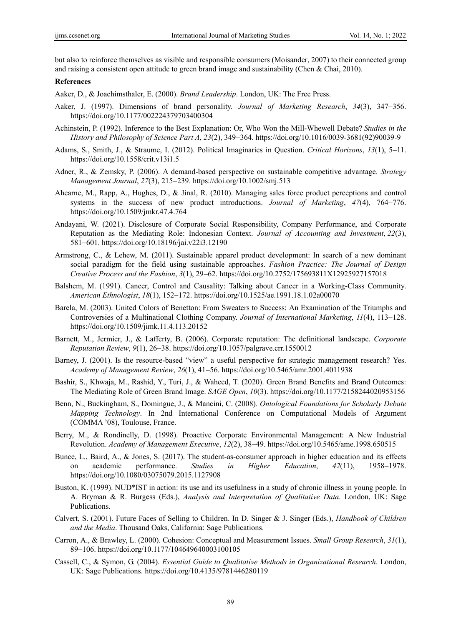but also to reinforce themselves as visible and responsible consumers (Moisander, 2007) to their connected group and raising a consistent open attitude to green brand image and sustainability (Chen & Chai, 2010).

#### **References**

Aaker, D., & Joachimsthaler, E. (2000). *Brand Leadership*. London, UK: The Free Press.

- Aaker, J. (1997). Dimensions of brand personality. *Journal of Marketing Research*, 34(3), 347–356. https://doi.org/10.1177/002224379703400304
- Achinstein, P. (1992). Inference to the Best Explanation: Or, Who Won the Mill-Whewell Debate? *Studies in the History and Philosophy of Science Part A, 23(2), 349–364.* https://doi.org/10.1016/0039-3681(92)90039-9
- Adams, S., Smith, J., & Straume, I. (2012). Political Imaginaries in Question. *Critical Horizons*, 13(1), 5-11. https://doi.org/10.1558/crit.v13i1.5
- Adner, R., & Zemsky, P. (2006). A demand-based perspective on sustainable competitive advantage. *Strategy Management Journal*, *27*(3), 215239. https://doi.org/10.1002/smj.513
- Ahearne, M., Rapp, A., Hughes, D., & Jinal, R. (2010). Managing sales force product perceptions and control systems in the success of new product introductions. *Journal of Marketing*, 47(4), 764–776. https://doi.org/10.1509/jmkr.47.4.764
- Andayani, W. (2021). Disclosure of Corporate Social Responsibility, Company Performance, and Corporate Reputation as the Mediating Role: Indonesian Context. *Journal of Accounting and Investment*, *22*(3), 581601. https://doi.org/10.18196/jai.v22i3.12190
- Armstrong, C., & Lehew, M. (2011). Sustainable apparel product development: In search of a new dominant social paradigm for the field using sustainable approaches. *Fashion Practice: The Journal of Design Creative Process and the Fashion*, *3*(1), 2962. https://doi.org/10.2752/175693811X12925927157018
- Balshem, M. (1991). Cancer, Control and Causality: Talking about Cancer in a Working-Class Community. *American Ethnologist*, *18*(1), 152172. https://doi.org/10.1525/ae.1991.18.1.02a00070
- Barela, M. (2003). United Colors of Benetton: From Sweaters to Success: An Examination of the Triumphs and Controversies of a Multinational Clothing Company. *Journal of International Marketing*, 11(4), 113–128. https://doi.org/10.1509/jimk.11.4.113.20152
- Barnett, M., Jermier, J., & Lafferty, B. (2006). Corporate reputation: The definitional landscape. *Corporate Reputation Review, 9(1), 26-38. https://doi.org/10.1057/palgrave.crr.1550012*
- Barney, J. (2001). Is the resource-based "view" a useful perspective for strategic management research? Yes. *Academy of Management Review*, *26*(1), 4156. https://doi.org/10.5465/amr.2001.4011938
- Bashir, S., Khwaja, M., Rashid, Y., Turi, J., & Waheed, T. (2020). Green Brand Benefits and Brand Outcomes: The Mediating Role of Green Brand Image. *SAGE Open*, *10*(3). https://doi.org/10.1177/2158244020953156
- Benn, N., Buckingham, S., Domingue, J., & Mancini, C. (2008). *Ontological Foundations for Scholarly Debate Mapping Technology*. In 2nd International Conference on Computational Models of Argument (COMMA '08), Toulouse, France.
- Berry, M., & Rondinelly, D. (1998). Proactive Corporate Environmental Management: A New Industrial Revolution. *Academy of Management Executive*, *12*(2), 3849. https://doi.org/10.5465/ame.1998.650515
- Bunce, L., Baird, A., & Jones, S. (2017). The student-as-consumer approach in higher education and its effects on academic performance. *Studies in Higher Education*, 42(11), 1958–1978. https://doi.org/10.1080/03075079.2015.1127908
- Buston, K. (1999). NUD\*IST in action: its use and its usefulness in a study of chronic illness in young people. In A. Bryman & R. Burgess (Eds.), *Analysis and Interpretation of Qualitative Data*. London, UK: Sage Publications.
- Calvert, S. (2001). Future Faces of Selling to Children. In D. Singer & J. Singer (Eds.), *Handbook of Children and the Media*. Thousand Oaks, California: Sage Publications.
- Carron, A., & Brawley, L. (2000). Cohesion: Conceptual and Measurement Issues. *Small Group Research*, *31*(1), 89-106. https://doi.org/10.1177/104649640003100105
- Cassell, C., & Symon, G. (2004). *Essential Guide to Qualitative Methods in Organizational Research*. London, UK: Sage Publications. https://doi.org/10.4135/9781446280119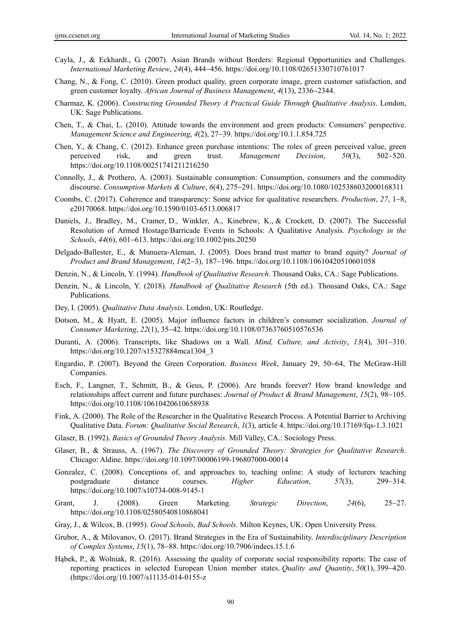- Cayla, J., & Eckhardt., G. (2007). Asian Brands without Borders: Regional Opportunities and Challenges. *International Marketing Review*, *24*(4), 444456. https://doi.org/10.1108/02651330710761017
- Chang, N., & Fong, C. (2010). Green product quality, green corporate image, green customer satisfaction, and green customer loyalty. *African Journal of Business Management*, 4(13), 2336–2344.
- Charmaz, K. (2006). *Constructing Grounded Theory A Practical Guide Through Qualitative Analysis*. London, UK: Sage Publications.
- Chen, T., & Chai, L. (2010). Attitude towards the environment and green products: Consumers' perspective. *Management Science and Engineering, 4(2), 27-39. https://doi.org/10.1.1.854.725*
- Chen, Y., & Chang, C. (2012). Enhance green purchase intentions: The roles of green perceived value, green perceived risk, and green trust. *Management Decision*, 50(3), 502–520. https://doi.org/10.1108/00251741211216250
- Connolly, J., & Prothero, A. (2003). Sustainable consumption: Consumption, consumers and the commodity discourse. *Consumption Markets & Culture*, *6*(4), 275–291. https://doi.org/10.1080/1025386032000168311
- Coombs, C. (2017). Coherence and transparency: Some advice for qualitative researchers. *Production*, 27, 1–8, e20170068. https://doi.org/10.1590/0103-6513.006817
- Daniels, J., Bradley, M., Cramer, D., Winkler, A., Kinebrew, K., & Crockett, D. (2007). The Successful Resolution of Armed Hostage/Barricade Events in Schools: A Qualitative Analysis. *Psychology in the Schools*, 44(6), 601-613. https://doi.org/10.1002/pits.20250
- Delgado-Ballester, E., & Munuera-Aleman, J. (2005). Does brand trust matter to brand equity? *Journal of Product and Brand Management*, *14*(23), 187196. https://doi.org/10.1108/10610420510601058
- Denzin, N., & Lincoln, Y. (1994). *Handbook of Qualitative Research*. Thousand Oaks, CA.: Sage Publications.
- Denzin, N., & Lincoln, Y. (2018). *Handbook of Qualitative Research* (5th ed.). Thousand Oaks, CA.: Sage Publications.
- Dey, I. (2005). *Qualitative Data Analysis*. London, UK: Routledge.
- Dotson, M., & Hyatt, E. (2005). Major influence factors in children's consumer socialization. *Journal of Consumer Marketing*, *22*(1), 3542. https://doi.org/10.1108/07363760510576536
- Duranti, A. (2006). Transcripts, like Shadows on a Wall. *Mind, Culture, and Activity*, 13(4), 301-310. https://doi.org/10.1207/s15327884mca1304\_3
- Engardio, P. (2007). Beyond the Green Corporation. *Business Week*, January 29, 50–64, The McGraw-Hill Companies.
- Esch, F., Langner, T., Schmitt, B., & Geus, P. (2006). Are brands forever? How brand knowledge and relationships affect current and future purchases: *Journal of Product & Brand Management*, 15(2), 98–105. https://doi.org/10.1108/10610420610658938
- Fink, A. (2000). The Role of the Researcher in the Qualitative Research Process. A Potential Barrier to Archiving Qualitative Data. *Forum: Qualitative Social Research*, *1*(3), article 4. https://doi.org/10.17169/fqs-1.3.1021
- Glaser, B. (1992). *Basics of Grounded Theory Analysis*. Mill Valley, CA.: Sociology Press.
- Glaser, B., & Strauss, A. (1967). *The Discovery of Grounded Theory: Strategies for Qualitative Research*. Chicago: Aldine. https://doi.org/10.1097/00006199-196807000-00014
- Gonzalez, C. (2008). Conceptions of, and approaches to, teaching online: A study of lecturers teaching postgraduate distance courses. *Higher Education*, 57(3), 299-314. https://doi.org/10.1007/s10734-008-9145-1
- Grant, J. (2008). Green Marketing. *Strategic Direction*, 24(6), 25–27. https://doi.org/10.1108/02580540810868041
- Gray, J., & Wilcox, B. (1995). *Good Schools, Bad Schools*. Milton Keynes, UK: Open University Press.
- Grubor, A., & Milovanov, O. (2017). Brand Strategies in the Era of Sustainability. *Interdisciplinary Description of Complex Systems, 15(1), 78–88. https://doi.org/10.7906/indecs.15.1.6*
- Hąbek, P., & Wolniak, R. (2016). Assessing the quality of corporate social responsibility reports: The case of reporting practices in selected European Union member states. *Quality and Quantity*,  $50(1)$ , 399–420. (https://doi.org/10.1007/s11135-014-0155-z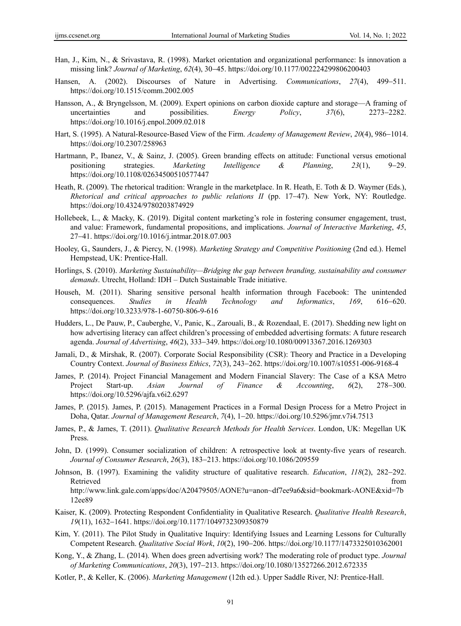- Han, J., Kim, N., & Srivastava, R. (1998). Market orientation and organizational performance: Is innovation a missing link? *Journal of Marketing*, *62*(4), 3045. https://doi.org/10.1177/002224299806200403
- Hansen, A. (2002). Discourses of Nature in Advertising. *Communications*, 27(4), 499–511. https://doi.org/10.1515/comm.2002.005
- Hansson, A., & Bryngelsson, M. (2009). Expert opinions on carbon dioxide capture and storage—A framing of uncertainties and possibilities. *Energy Policy*, 37(6), 2273–2282. https://doi.org/10.1016/j.enpol.2009.02.018
- Hart, S. (1995). A Natural-Resource-Based View of the Firm. *Academy of Management Review*, 20(4), 986–1014. https://doi.org/10.2307/258963
- Hartmann, P., Ibanez, V., & Sainz, J. (2005). Green branding effects on attitude: Functional versus emotional positioning strategies. *Marketing Intelligence & Planning*, 23(1), 9–29. https://doi.org/10.1108/02634500510577447
- Heath, R. (2009). The rhetorical tradition: Wrangle in the marketplace. In R. Heath, E. Toth & D. Waymer (Eds.), *Rhetorical and critical approaches to public relations II* (pp. 17–47). New York, NY: Routledge. https://doi.org/10.4324/9780203874929
- Hollebeek, L., & Macky, K. (2019). Digital content marketing's role in fostering consumer engagement, trust, and value: Framework, fundamental propositions, and implications. *Journal of Interactive Marketing*, *45*, 2741. https://doi.org/10.1016/j.intmar.2018.07.003
- Hooley, G., Saunders, J., & Piercy, N. (1998). *Marketing Strategy and Competitive Positioning* (2nd ed.). Hemel Hempstead, UK: Prentice-Hall.
- Horlings, S. (2010). *Marketing Sustainability—Bridging the gap between branding, sustainability and consumer demands*. Utrecht, Holland: IDH – Dutch Sustainable Trade initiative.
- Househ, M. (2011). Sharing sensitive personal health information through Facebook: The unintended consequences. *Studies in Health Technology and Informatics*, 169, 616–620. https://doi.org/10.3233/978-1-60750-806-9-616
- Hudders, L., De Pauw, P., Cauberghe, V., Panic, K., Zarouali, B., & Rozendaal, E. (2017). Shedding new light on how advertising literacy can affect children's processing of embedded advertising formats: A future research agenda. *Journal of Advertising*, 46(2), 333-349. https://doi.org/10.1080/00913367.2016.1269303
- Jamali, D., & Mirshak, R. (2007). Corporate Social Responsibility (CSR): Theory and Practice in a Developing Country Context. *Journal of Business Ethics*, *72*(3), 243-262. https://doi.org/10.1007/s10551-006-9168-4
- James, P. (2014). Project Financial Management and Modern Financial Slavery: The Case of a KSA Metro Project Start-up. *Asian Journal of Finance & Accounting*, 6(2), 278–300. https://doi.org/10.5296/ajfa.v6i2.6297
- James, P. (2015). James, P. (2015). Management Practices in a Formal Design Process for a Metro Project in Doha, Qatar. *Journal of Management Research*, 7(4), 1-20. https://doi.org/10.5296/jmr.v7i4.7513
- James, P., & James, T. (2011). *Qualitative Research Methods for Health Services*. London, UK: Megellan UK Press.
- John, D. (1999). Consumer socialization of children: A retrospective look at twenty-five years of research. *Journal of Consumer Research, 26*(3), 183-213. https://doi.org/10.1086/209559
- Johnson, B. (1997). Examining the validity structure of qualitative research. *Education*, 118(2), 282–292. Retrieved that the contract of the contract of the contract of the contract of the contract of the contract of the contract of the contract of the contract of the contract of the contract of the contract of the contract of http://www.link.gale.com/apps/doc/A20479505/AONE?u=anon~df7ee9a6&sid=bookmark-AONE&xid=7b 12ee89
- Kaiser, K. (2009). Protecting Respondent Confidentiality in Qualitative Research. *Qualitative Health Research*, 19(11), 1632-1641. https://doi.org/10.1177/1049732309350879
- Kim, Y. (2011). The Pilot Study in Qualitative Inquiry: Identifying Issues and Learning Lessons for Culturally Competent Research. *Qualitative Social Work*, *10*(2), 190-206. https://doi.org/10.1177/1473325010362001
- Kong, Y., & Zhang, L. (2014). When does green advertising work? The moderating role of product type. *Journal of Marketing Communications*, 20(3), 197-213. https://doi.org/10.1080/13527266.2012.672335
- Kotler, P., & Keller, K. (2006). *Marketing Management* (12th ed.). Upper Saddle River, NJ: Prentice-Hall.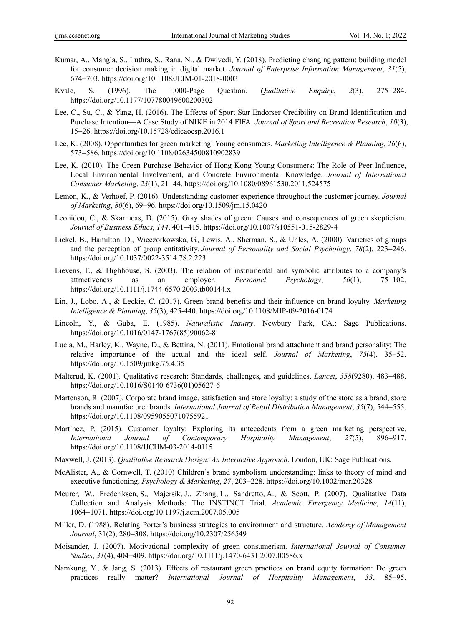- Kumar, A., Mangla, S., Luthra, S., Rana, N., & Dwivedi, Y. (2018). Predicting changing pattern: building model for consumer decision making in digital market. *Journal of Enterprise Information Management*, *31*(5), 674703. https://doi.org/10.1108/JEIM-01-2018-0003
- Kvale, S. (1996). The 1,000-Page Question. *Qualitative Enquiry*, 2(3), 275–284. https://doi.org/10.1177/107780049600200302
- Lee, C., Su, C., & Yang, H. (2016). The Effects of Sport Star Endorser Credibility on Brand Identification and Purchase Intention—A Case Study of NIKE in 2014 FIFA. *Journal of Sport and Recreation Research*, *10*(3), 1526. https://doi.org/10.15728/edicaoesp.2016.1
- Lee, K. (2008). Opportunities for green marketing: Young consumers. *Marketing Intelligence & Planning*, *26*(6), 573-586. https://doi.org/10.1108/02634500810902839
- Lee, K. (2010). The Green Purchase Behavior of Hong Kong Young Consumers: The Role of Peer Influence, Local Environmental Involvement, and Concrete Environmental Knowledge. *Journal of International Consumer Marketing*, *23*(1), 2144. https://doi.org/10.1080/08961530.2011.524575
- Lemon, K., & Verhoef, P. (2016). Understanding customer experience throughout the customer journey. *Journal of Marketing*, *80*(6), 69-96. https://doi.org/10.1509/jm.15.0420
- Leonidou, C., & Skarmeas, D. (2015). Gray shades of green: Causes and consequences of green skepticism. *Journal of Business Ethics*, *144*, 401–415. https://doi.org/10.1007/s10551-015-2829-4
- Lickel, B., Hamilton, D., Wieczorkowska, G., Lewis, A., Sherman, S., & Uhles, A. (2000). Varieties of groups and the perception of group entitativity. *Journal of Personality and Social Psychology*, 78(2), 223–246. https://doi.org/10.1037/0022-3514.78.2.223
- Lievens, F., & Highhouse, S. (2003). The relation of instrumental and symbolic attributes to a company's attractiveness as an employer. *Personnel Psychology*, 56(1), 75–102. https://doi.org/10.1111/j.1744-6570.2003.tb00144.x
- Lin, J., Lobo, A., & Leckie, C. (2017). Green brand benefits and their influence on brand loyalty. *Marketing Intelligence & Planning*, *35*(3), 425-440. https://doi.org/10.1108/MIP-09-2016-0174
- Lincoln, Y., & Guba, E. (1985). *Naturalistic Inquiry*. Newbury Park, CA.: Sage Publications. https://doi.org/10.1016/0147-1767(85)90062-8
- Lucia, M., Harley, K., Wayne, D., & Bettina, N. (2011). Emotional brand attachment and brand personality: The relative importance of the actual and the ideal self. *Journal of Marketing*, 75(4), 35–52. https://doi.org/10.1509/jmkg.75.4.35
- Malterud, K. (2001). Qualitative research: Standards, challenges, and guidelines. *Lancet*, 358(9280), 483-488. https://doi.org/10.1016/S0140-6736(01)05627-6
- Martenson, R. (2007). Corporate brand image, satisfaction and store loyalty: a study of the store as a brand, store brands and manufacturer brands. *International Journal of Retail Distribution Management*, *35*(7), 544555. https://doi.org/10.1108/09590550710755921
- Martínez, P. (2015). Customer loyalty: Exploring its antecedents from a green marketing perspective. *International Journal of Contemporary Hospitality Management, 27(5), 896–917.* https://doi.org/10.1108/IJCHM-03-2014-0115
- Maxwell, J. (2013). *Qualitative Research Design: An Interactive Approach*. London, UK: Sage Publications.
- McAlister, A., & Cornwell, T. (2010) Children's brand symbolism understanding: links to theory of mind and executive functioning. *Psychology & Marketing*, 27, 203–228. https://doi.org/10.1002/mar.20328
- Meurer, W., Frederiksen, S., Majersik, J., Zhang, L., Sandretto, A., & Scott, P. (2007). Qualitative Data Collection and Analysis Methods: The INSTINCT Trial. *Academic Emergency Medicine*, *14*(11), 10641071. https://doi.org/10.1197/j.aem.2007.05.005
- Miller, D. (1988). Relating Porter's business strategies to environment and structure. *Academy of Management*  Journal, 31(2), 280-308. https://doi.org/10.2307/256549
- Moisander, J. (2007). Motivational complexity of green consumerism. *International Journal of Consumer Studies*, 31(4), 404-409. https://doi.org/10.1111/j.1470-6431.2007.00586.x
- Namkung, Y., & Jang, S. (2013). Effects of restaurant green practices on brand equity formation: Do green practices really matter? *International Journal of Hospitality Management*, 33, 85–95.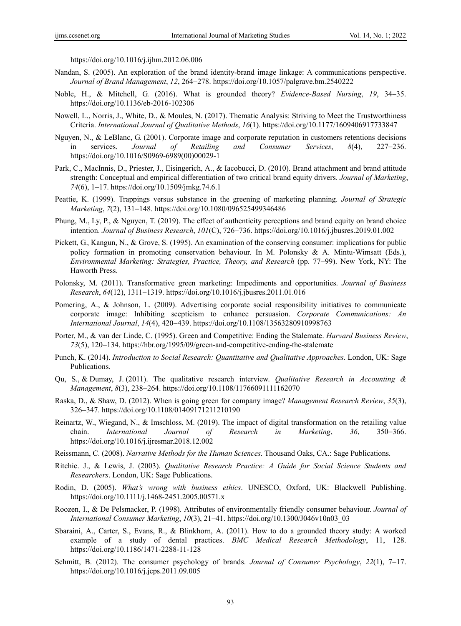https://doi.org/10.1016/j.ijhm.2012.06.006

- Nandan, S. (2005). An exploration of the brand identity-brand image linkage: A communications perspective. *Journal of Brand Management*, *12*, 264–278. https://doi.org/10.1057/palgrave.bm.2540222
- Noble, H., & Mitchell, G. (2016). What is grounded theory? *Evidence-Based Nursing*, *19*, 3435. https://doi.org/10.1136/eb-2016-102306
- Nowell, L., Norris, J., White, D., & Moules, N. (2017). Thematic Analysis: Striving to Meet the Trustworthiness Criteria. *International Journal of Qualitative Methods*, *16*(1). https://doi.org/10.1177/1609406917733847
- Nguyen, N., & LeBlanc, G. (2001). Corporate image and corporate reputation in customers retentions decisions in services. *Journal of Retailing and Consumer Services*, 8(4), 227–236. https://doi.org/10.1016/S0969-6989(00)00029-1
- Park, C., MacInnis, D., Priester, J., Eisingerich, A., & Iacobucci, D. (2010). Brand attachment and brand attitude strength: Conceptual and empirical differentiation of two critical brand equity drivers. *Journal of Marketing*, 74(6), 1–17. https://doi.org/10.1509/jmkg.74.6.1
- Peattie, K. (1999). Trappings versus substance in the greening of marketing planning. *Journal of Strategic Marketing*, *7*(2), 131-148. https://doi.org/10.1080/096525499346486
- Phung, M., Ly, P., & Nguyen, T. (2019). The effect of authenticity perceptions and brand equity on brand choice intention. *Journal of Business Research*, *101*(C), 726736. https://doi.org/10.1016/j.jbusres.2019.01.002
- Pickett, G., Kangun, N., & Grove, S. (1995). An examination of the conserving consumer: implications for public policy formation in promoting conservation behaviour. In M. Polonsky & A. Mintu-Wimsatt (Eds.), *Environmental Marketing: Strategies, Practice, Theory, and Research (pp. 77–99). New York, NY: The* Haworth Press.
- Polonsky, M. (2011). Transformative green marketing: Impediments and opportunities. *Journal of Business Research*, *64*(12), 1311-1319. https://doi.org/10.1016/j.jbusres.2011.01.016
- Pomering, A., & Johnson, L. (2009). Advertising corporate social responsibility initiatives to communicate corporate image: Inhibiting scepticism to enhance persuasion. *Corporate Communications: An International Journal*, *14*(4), 420439. https://doi.org/10.1108/13563280910998763
- Porter, M., & van der Linde, C. (1995). Green and Competitive: Ending the Stalemate. *Harvard Business Review*, 73(5), 120–134. https://hbr.org/1995/09/green-and-competitive-ending-the-stalemate
- Punch, K. (2014). *Introduction to Social Research: Quantitative and Qualitative Approaches*. London, UK: Sage Publications.
- Qu, S., & Dumay, J. (2011). The qualitative research interview. *Qualitative Research in Accounting & Management*, 8(3), 238-264. https://doi.org/10.1108/11766091111162070
- Raska, D., & Shaw, D. (2012). When is going green for company image? *Management Research Review*, *35*(3), 326347. https://doi.org/10.1108/01409171211210190
- Reinartz, W., Wiegand, N., & Imschloss, M. (2019). The impact of digital transformation on the retailing value chain. *International Journal of Research in Marketing*, 36, 350–366. https://doi.org/10.1016/j.ijresmar.2018.12.002
- Reissmann, C. (2008). *Narrative Methods for the Human Sciences*. Thousand Oaks, CA.: Sage Publications.
- Ritchie. J., & Lewis, J. (2003). *Qualitative Research Practice: A Guide for Social Science Students and Researchers*. London, UK: Sage Publications.
- Rodin, D. (2005). *What's wrong with business ethics*. UNESCO, Oxford, UK: Blackwell Publishing. https://doi.org/10.1111/j.1468-2451.2005.00571.x
- Roozen, I., & De Pelsmacker, P. (1998). Attributes of environmentally friendly consumer behaviour. *Journal of International Consumer Marketing*,  $10(3)$ ,  $21-41$ . https://doi.org/10.1300/J046v10n03\_03
- Sbaraini, A., Carter, S., Evans, R., & Blinkhorn, A. (2011). How to do a grounded theory study: A worked example of a study of dental practices. *BMC Medical Research Methodology*, 11, 128. https://doi.org/10.1186/1471-2288-11-128
- Schmitt, B. (2012). The consumer psychology of brands. *Journal of Consumer Psychology*, 22(1), 7–17. https://doi.org/10.1016/j.jcps.2011.09.005